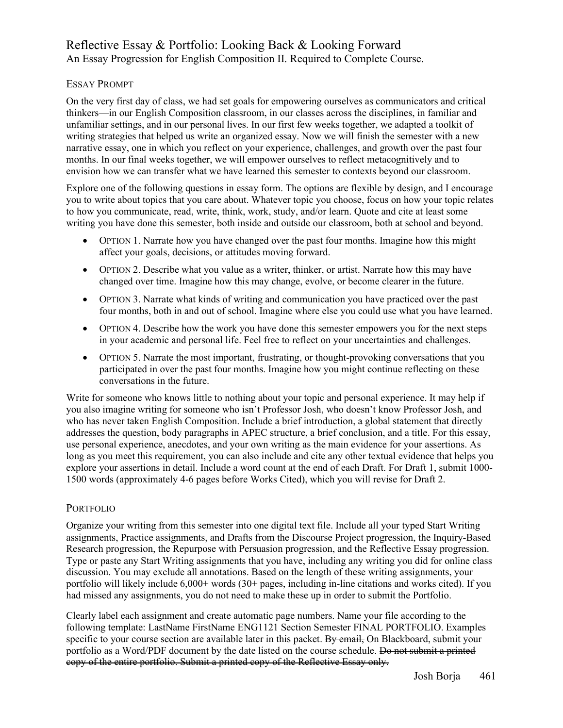# Reflective Essay & Portfolio: Looking Back & Looking Forward An Essay Progression for English Composition II. Required to Complete Course.

## ESSAY PROMPT

On the very first day of class, we had set goals for empowering ourselves as communicators and critical thinkers—in our English Composition classroom, in our classes across the disciplines, in familiar and unfamiliar settings, and in our personal lives. In our first few weeks together, we adapted a toolkit of writing strategies that helped us write an organized essay. Now we will finish the semester with a new narrative essay, one in which you reflect on your experience, challenges, and growth over the past four months. In our final weeks together, we will empower ourselves to reflect metacognitively and to envision how we can transfer what we have learned this semester to contexts beyond our classroom.

Explore one of the following questions in essay form. The options are flexible by design, and I encourage you to write about topics that you care about. Whatever topic you choose, focus on how your topic relates to how you communicate, read, write, think, work, study, and/or learn. Quote and cite at least some writing you have done this semester, both inside and outside our classroom, both at school and beyond.

- OPTION 1. Narrate how you have changed over the past four months. Imagine how this might affect your goals, decisions, or attitudes moving forward.
- OPTION 2. Describe what you value as a writer, thinker, or artist. Narrate how this may have changed over time. Imagine how this may change, evolve, or become clearer in the future.
- OPTION 3. Narrate what kinds of writing and communication you have practiced over the past four months, both in and out of school. Imagine where else you could use what you have learned.
- OPTION 4. Describe how the work you have done this semester empowers you for the next steps in your academic and personal life. Feel free to reflect on your uncertainties and challenges.
- OPTION 5. Narrate the most important, frustrating, or thought-provoking conversations that you participated in over the past four months. Imagine how you might continue reflecting on these conversations in the future.

Write for someone who knows little to nothing about your topic and personal experience. It may help if you also imagine writing for someone who isn't Professor Josh, who doesn't know Professor Josh, and who has never taken English Composition. Include a brief introduction, a global statement that directly addresses the question, body paragraphs in APEC structure, a brief conclusion, and a title. For this essay, use personal experience, anecdotes, and your own writing as the main evidence for your assertions. As long as you meet this requirement, you can also include and cite any other textual evidence that helps you explore your assertions in detail. Include a word count at the end of each Draft. For Draft 1, submit 1000- 1500 words (approximately 4-6 pages before Works Cited), which you will revise for Draft 2.

### PORTFOLIO

Organize your writing from this semester into one digital text file. Include all your typed Start Writing assignments, Practice assignments, and Drafts from the Discourse Project progression, the Inquiry-Based Research progression, the Repurpose with Persuasion progression, and the Reflective Essay progression. Type or paste any Start Writing assignments that you have, including any writing you did for online class discussion. You may exclude all annotations. Based on the length of these writing assignments, your portfolio will likely include 6,000+ words (30+ pages, including in-line citations and works cited). If you had missed any assignments, you do not need to make these up in order to submit the Portfolio.

Clearly label each assignment and create automatic page numbers. Name your file according to the following template: LastName FirstName ENG1121 Section Semester FINAL PORTFOLIO. Examples specific to your course section are available later in this packet. By email, On Blackboard, submit your portfolio as a Word/PDF document by the date listed on the course schedule. Do not submit a printed copy of the entire portfolio. Submit a printed copy of the Reflective Essay only.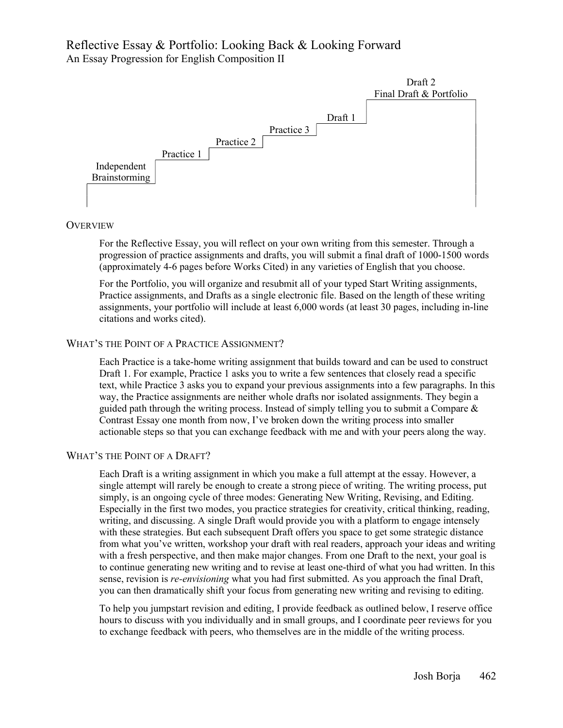# Reflective Essay & Portfolio: Looking Back & Looking Forward An Essay Progression for English Composition II



#### **OVERVIEW**

For the Reflective Essay, you will reflect on your own writing from this semester. Through a progression of practice assignments and drafts, you will submit a final draft of 1000-1500 words (approximately 4-6 pages before Works Cited) in any varieties of English that you choose.

For the Portfolio, you will organize and resubmit all of your typed Start Writing assignments, Practice assignments, and Drafts as a single electronic file. Based on the length of these writing assignments, your portfolio will include at least 6,000 words (at least 30 pages, including in-line citations and works cited).

### WHAT'S THE POINT OF A PRACTICE ASSIGNMENT?

Each Practice is a take-home writing assignment that builds toward and can be used to construct Draft 1. For example, Practice 1 asks you to write a few sentences that closely read a specific text, while Practice 3 asks you to expand your previous assignments into a few paragraphs. In this way, the Practice assignments are neither whole drafts nor isolated assignments. They begin a guided path through the writing process. Instead of simply telling you to submit a Compare  $\&$ Contrast Essay one month from now, I've broken down the writing process into smaller actionable steps so that you can exchange feedback with me and with your peers along the way.

## WHAT'S THE POINT OF A DRAFT?

Each Draft is a writing assignment in which you make a full attempt at the essay. However, a single attempt will rarely be enough to create a strong piece of writing. The writing process, put simply, is an ongoing cycle of three modes: Generating New Writing, Revising, and Editing. Especially in the first two modes, you practice strategies for creativity, critical thinking, reading, writing, and discussing. A single Draft would provide you with a platform to engage intensely with these strategies. But each subsequent Draft offers you space to get some strategic distance from what you've written, workshop your draft with real readers, approach your ideas and writing with a fresh perspective, and then make major changes. From one Draft to the next, your goal is to continue generating new writing and to revise at least one-third of what you had written. In this sense, revision is *re-envisioning* what you had first submitted. As you approach the final Draft, you can then dramatically shift your focus from generating new writing and revising to editing.

To help you jumpstart revision and editing, I provide feedback as outlined below, I reserve office hours to discuss with you individually and in small groups, and I coordinate peer reviews for you to exchange feedback with peers, who themselves are in the middle of the writing process.